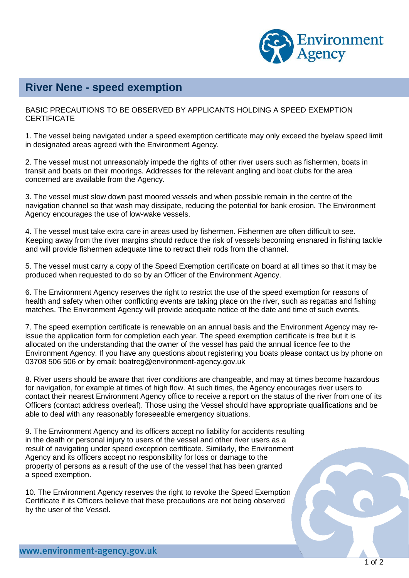

## **River Nene - speed exemption**

BASIC PRECAUTIONS TO BE OBSERVED BY APPLICANTS HOLDING A SPEED EXEMPTION **CERTIFICATE** 

1. The vessel being navigated under a speed exemption certificate may only exceed the byelaw speed limit in designated areas agreed with the Environment Agency.

2. The vessel must not unreasonably impede the rights of other river users such as fishermen, boats in transit and boats on their moorings. Addresses for the relevant angling and boat clubs for the area concerned are available from the Agency.

3. The vessel must slow down past moored vessels and when possible remain in the centre of the navigation channel so that wash may dissipate, reducing the potential for bank erosion. The Environment Agency encourages the use of low-wake vessels.

4. The vessel must take extra care in areas used by fishermen. Fishermen are often difficult to see. Keeping away from the river margins should reduce the risk of vessels becoming ensnared in fishing tackle and will provide fishermen adequate time to retract their rods from the channel.

5. The vessel must carry a copy of the Speed Exemption certificate on board at all times so that it may be produced when requested to do so by an Officer of the Environment Agency.

6. The Environment Agency reserves the right to restrict the use of the speed exemption for reasons of health and safety when other conflicting events are taking place on the river, such as regattas and fishing matches. The Environment Agency will provide adequate notice of the date and time of such events.

7. The speed exemption certificate is renewable on an annual basis and the Environment Agency may reissue the application form for completion each year. The speed exemption certificate is free but it is allocated on the understanding that the owner of the vessel has paid the annual licence fee to the Environment Agency. If you have any questions about registering you boats please contact us by phone on 03708 506 506 or by email: boatreg@environment-agency.gov.uk

8. River users should be aware that river conditions are changeable, and may at times become hazardous for navigation, for example at times of high flow. At such times, the Agency encourages river users to contact their nearest Environment Agency office to receive a report on the status of the river from one of its Officers (contact address overleaf). Those using the Vessel should have appropriate qualifications and be able to deal with any reasonably foreseeable emergency situations.

9. The Environment Agency and its officers accept no liability for accidents resulting in the death or personal injury to users of the vessel and other river users as a result of navigating under speed exception certificate. Similarly, the Environment Agency and its officers accept no responsibility for loss or damage to the property of persons as a result of the use of the vessel that has been granted a speed exemption.

10. The Environment Agency reserves the right to revoke the Speed Exemption Certificate if its Officers believe that these precautions are not being observed by the user of the Vessel.